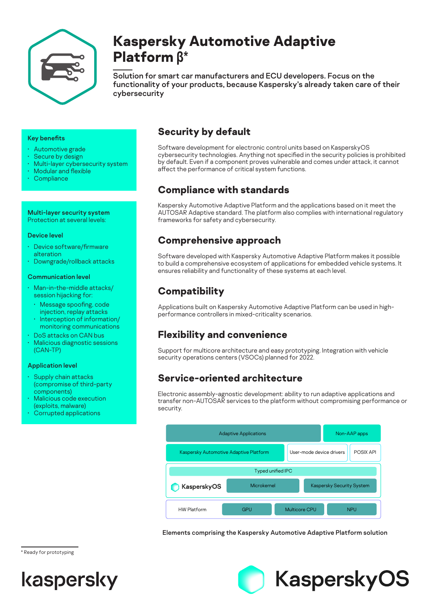

# **Kaspersky Automotive Adaptive Platform β\***

Solution for smart car manufacturers and ECU developers. Focus on the functionality of your products, because Kaspersky's already taken care of their cybersecurity

### Key benefits

- Automotive grade
- Secure by design
- Multi-layer cybersecurity system
- Modular and flexible
- **Compliance**

Multi-layer security system Protection at several levels:

#### Device level

- Device software/firmware alteration
- Downgrade/rollback attacks

### Communication level

- Man-in-the-middle attacks/ session hijacking for:
- Message spoofing, code injection, replay attacks
- Interception of information/ monitoring communications
- DoS attacks on CAN bus • Malicious diagnostic sessions (CAN-TP)

### Application level

- Supply chain attacks (compromise of third-party components)
- Malicious code execution (exploits, malware)
- Corrupted applications

# **Security by default**

Software development for electronic control units based on KasperskyOS cybersecurity technologies. Anything not specified in the security policies is prohibited by default. Even if a component proves vulnerable and comes under attack, it cannot affect the performance of critical system functions.

# **Compliance with standards**

Kaspersky Automotive Adaptive Platform and the applications based on it meet the AUTOSAR Adaptive standard. The platform also complies with international regulatory frameworks for safety and cybersecurity.

# **Comprehensive approach**

Software developed with Kaspersky Automotive Adaptive Platform makes it possible to build a comprehensive ecosystem of applications for embedded vehicle systems. It ensures reliability and functionality of these systems at each level.

# **Compatibility**

Applications built on Kaspersky Automotive Adaptive Platform can be used in highperformance controllers in mixed-criticality scenarios.

# **Flexibility and convenience**

Support for multicore architecture and easy prototyping. Integration with vehicle security operations centers (VSOCs) planned for 2022.

### **Service-oriented architecture**

Electronic assembly-agnostic development: ability to run adaptive applications and transfer non-AUTOSAR services to the platform without compromising performance or security.



Elements comprising the Kaspersky Automotive Adaptive Platform solution



\* Ready for prototyping